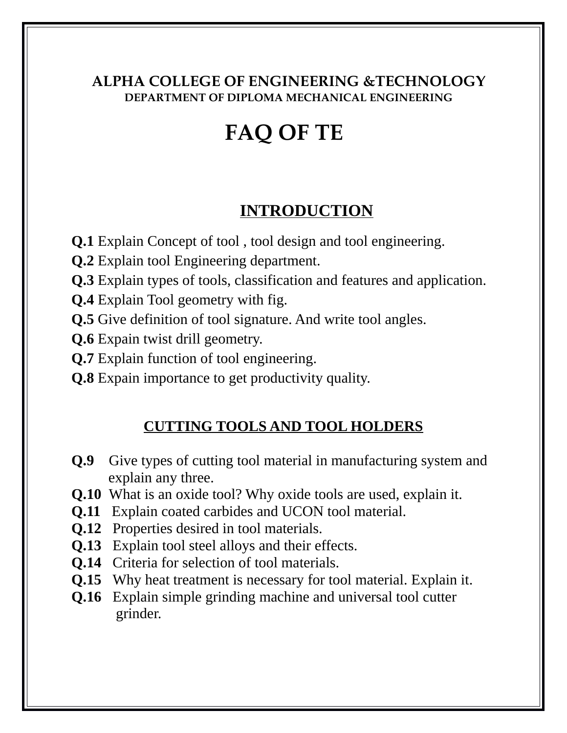#### **ALPHA COLLEGE OF ENGINEERING &TECHNOLOGY DEPARTMENT OF DIPLOMA MECHANICAL ENGINEERING**

# **FAQ OF TE**

## **INTRODUCTION**

- **Q.1** Explain Concept of tool , tool design and tool engineering.
- **Q.2** Explain tool Engineering department.
- **Q.3** Explain types of tools, classification and features and application.
- **Q.4** Explain Tool geometry with fig.
- **Q.5** Give definition of tool signature. And write tool angles.
- **Q.6** Expain twist drill geometry.
- **Q.7** Explain function of tool engineering.
- **Q.8** Expain importance to get productivity quality.

## **CUTTING TOOLS AND TOOL HOLDERS**

- **Q.9** Give types of cutting tool material in manufacturing system and explain any three.
- **Q.10** What is an oxide tool? Why oxide tools are used, explain it.
- **Q.11** Explain coated carbides and UCON tool material.
- **Q.12** Properties desired in tool materials.
- **Q.13** Explain tool steel alloys and their effects.
- **Q.14** Criteria for selection of tool materials.
- **Q.15** Why heat treatment is necessary for tool material. Explain it.
- **Q.16** Explain simple grinding machine and universal tool cutter grinder.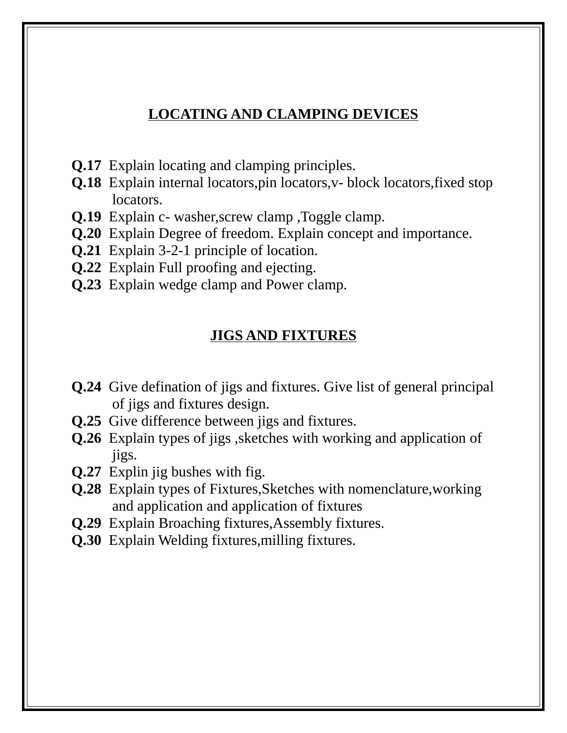#### **LOCATING AND CLAMPING DEVICES**

- **Q.17** Explain locating and clamping principles.
- **Q.18** Explain internal locators,pin locators,v- block locators,fixed stop locators.
- **Q.19** Explain c- washer,screw clamp ,Toggle clamp.
- **Q.20** Explain Degree of freedom. Explain concept and importance.
- **Q.21** Explain 3-2-1 principle of location.
- **Q.22** Explain Full proofing and ejecting.
- **Q.23** Explain wedge clamp and Power clamp.

#### **JIGS AND FIXTURES**

- **Q.24** Give defination of jigs and fixtures. Give list of general principal of jigs and fixtures design.
- **Q.25** Give difference between jigs and fixtures.
- **Q.26** Explain types of jigs ,sketches with working and application of jigs.
- **Q.27** Explin jig bushes with fig.
- **Q.28** Explain types of Fixtures,Sketches with nomenclature,working and application and application of fixtures
- **Q.29** Explain Broaching fixtures, Assembly fixtures.
- **Q.30** Explain Welding fixtures, milling fixtures.